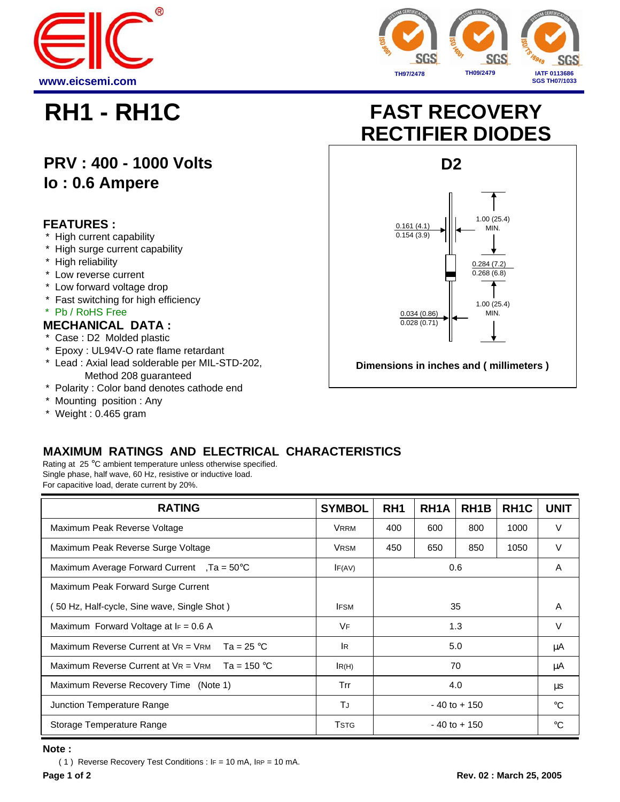



## **PRV : 400 - 1000 Volts Io : 0.6 Ampere**

#### **FEATURES :**

- High current capability
- \* High surge current capability
- \* High reliability
- \* Low reverse current
- \* Low forward voltage drop
- \* Fast switching for high efficiency
- \* Pb / RoHS Free

#### **MECHANICAL DATA :**

- \* Case : D2 Molded plastic
- \* Epoxy : UL94V-O rate flame retardant
- \* Lead : Axial lead solderable per MIL-STD-202, Method 208 guaranteed
- \* Polarity : Color band denotes cathode end
- \* Mounting position : Any
- \* Weight : 0.465 gram

# **RH1 - RH1C FAST RECOVERY RECTIFIER DIODES**



### **MAXIMUM RATINGS AND ELECTRICAL CHARACTERISTICS**

Rating at 25 °C ambient temperature unless otherwise specified. Single phase, half wave, 60 Hz, resistive or inductive load. For capacitive load, derate current by 20%.

| <b>RATING</b>                                        | <b>SYMBOL</b> | RH <sub>1</sub> | RH <sub>1</sub> A | RH <sub>1</sub> B | RH <sub>1</sub> C | <b>UNIT</b> |
|------------------------------------------------------|---------------|-----------------|-------------------|-------------------|-------------------|-------------|
| Maximum Peak Reverse Voltage                         | <b>VRRM</b>   | 400             | 600               | 800               | 1000              | V           |
| Maximum Peak Reverse Surge Voltage                   | <b>VRSM</b>   | 450             | 650               | 850               | 1050              | V           |
| Maximum Average Forward Current , $Ta = 50^{\circ}C$ | IF(AV)        | 0.6             |                   |                   |                   | A           |
| Maximum Peak Forward Surge Current                   |               |                 |                   |                   |                   |             |
| 50 Hz, Half-cycle, Sine wave, Single Shot)           | <b>IFSM</b>   | 35              |                   |                   |                   | A           |
| Maximum Forward Voltage at $F = 0.6$ A               | VF            | 1.3             |                   |                   |                   | V           |
| Maximum Reverse Current at $V = V$ RM Ta = 25 °C     | <b>IR</b>     | 5.0             |                   |                   |                   | μA          |
| Maximum Reverse Current at $V = V$ RM Ta = 150 °C    | IR(H)         | 70              |                   |                   |                   | μA          |
| Maximum Reverse Recovery Time (Note 1)               | Trr           | 4.0             |                   |                   |                   | μs          |
| Junction Temperature Range                           | TJ            | $-40$ to $+150$ |                   |                   |                   | $^{\circ}C$ |
| Storage Temperature Range                            | <b>TSTG</b>   | $-40$ to $+150$ |                   |                   |                   | ി           |

#### **Note :**

( 1 ) Reverse Recovery Test Conditions : IF = 10 mA, IRP = 10 mA.